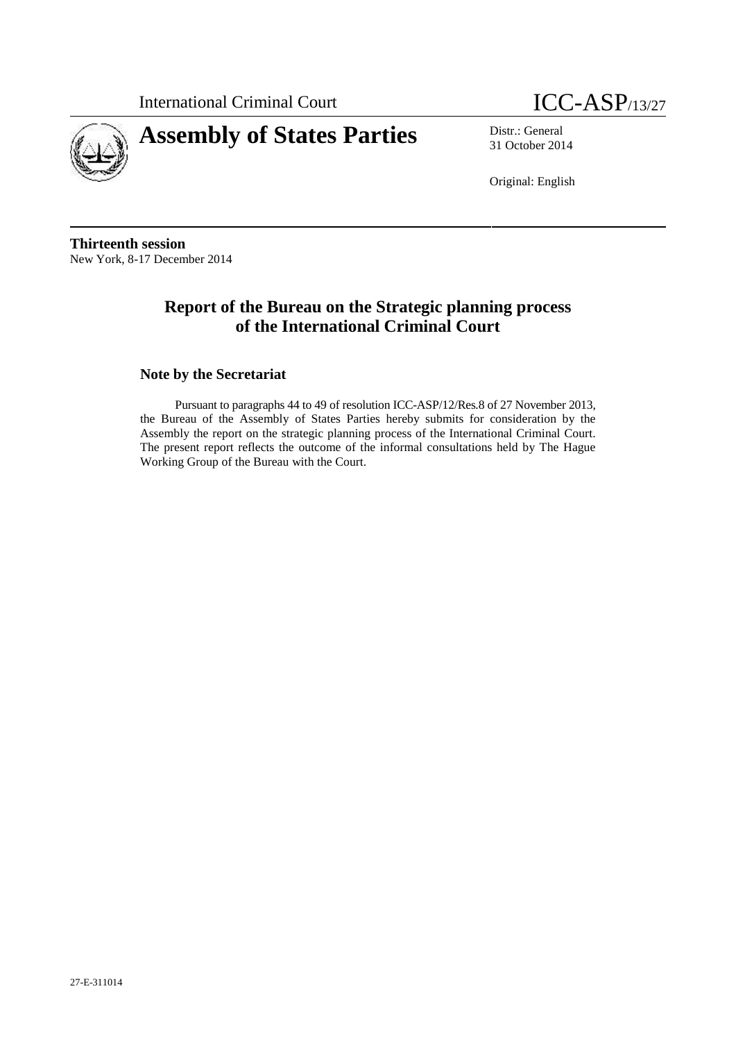



31 October 2014

Original: English

**Thirteenth session** New York, 8-17 December 2014

# **Report of the Bureau on the Strategic planning process of the International Criminal Court**

## **Note by the Secretariat**

Pursuant to paragraphs 44 to 49 of resolution ICC-ASP/12/Res.8 of 27 November 2013, the Bureau of the Assembly of States Parties hereby submits for consideration by the Assembly the report on the strategic planning process of the International Criminal Court. The present report reflects the outcome of the informal consultations held by The Hague Working Group of the Bureau with the Court.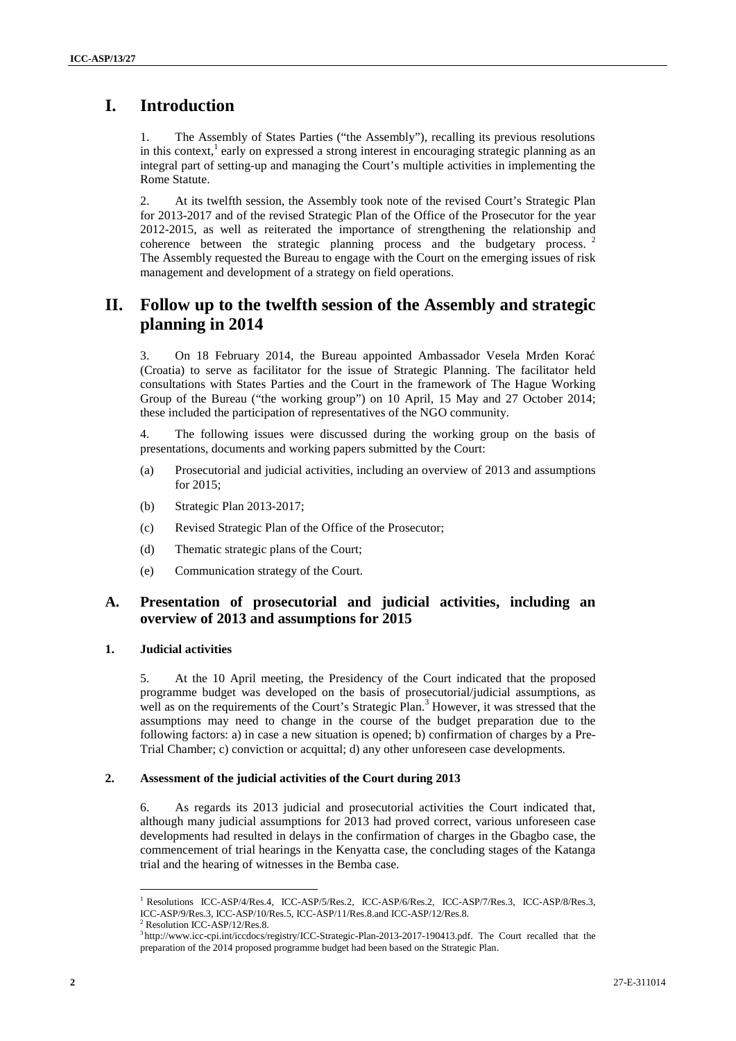# **I. Introduction**

1. The Assembly of States Parties ("the Assembly"), recalling its previous resolutions in this context, $\frac{1}{1}$  early on expressed a strong interest in encouraging strategic planning as an integral part of setting-up and managing the Court's multiple activities in implementing the Rome Statute.

2. At its twelfth session, the Assembly took note of the revised Court's Strategic Plan for 2013-2017 and of the revised Strategic Plan of the Office of the Prosecutor for the year 2012-2015, as well as reiterated the importance of strengthening the relationship and coherence between the strategic planning process and the budgetary process. <sup>2</sup> The Assembly requested the Bureau to engage with the Court on the emerging issues of risk management and development of a strategy on field operations.

# **II. Follow up to the twelfth session of the Assembly and strategic planning in 2014**

3. On 18 February 2014, the Bureau appointed Ambassador Vesela Mr en Kora (Croatia) to serve as facilitator for the issue of Strategic Planning. The facilitator held consultations with States Parties and the Court in the framework of The Hague Working Group of the Bureau ("the working group") on 10 April, 15 May and 27 October 2014; these included the participation of representatives of the NGO community.

4. The following issues were discussed during the working group on the basis of presentations, documents and working papers submitted by the Court:

- (a) Prosecutorial and judicial activities, including an overview of 2013 and assumptions for 2015;
- (b) Strategic Plan 2013-2017;
- (c) Revised Strategic Plan of the Office of the Prosecutor;
- (d) Thematic strategic plans of the Court;
- (e) Communication strategy of the Court.

## **A. Presentation of prosecutorial and judicial activities, including an overview of 2013 and assumptions for 2015**

### **1. Judicial activities**

5. At the 10 April meeting, the Presidency of the Court indicated that the proposed programme budget was developed on the basis of prosecutorial/judicial assumptions, as well as on the requirements of the Court's Strategic Plan.<sup>3</sup> However, it was stressed that the assumptions may need to change in the course of the budget preparation due to the following factors: a) in case a new situation is opened; b) confirmation of charges by a Pre- Trial Chamber; c) conviction or acquittal; d) any other unforeseen case developments.

#### **2. Assessment of the judicial activities of the Court during 2013**

6. As regards its 2013 judicial and prosecutorial activities the Court indicated that, although many judicial assumptions for 2013 had proved correct, various unforeseen case developments had resulted in delays in the confirmation of charges in the Gbagbo case, the commencement of trial hearings in the Kenyatta case, the concluding stages of the Katanga trial and the hearing of witnesses in the Bemba case.

<sup>&</sup>lt;sup>1</sup> Resolutions ICC-ASP/4/Res.4, ICC-ASP/5/Res.2, ICC-ASP/6/Res.2, ICC-ASP/7/Res.3, ICC-ASP/8/Res.3, ICC-ASP/9/Res.3, ICC-ASP/10/Res.5, ICC-ASP/11/Res.8.and ICC-ASP/12/Res.8.

<sup>2</sup> Resolution ICC-ASP/12/Res.8.

<sup>3</sup> http://www.icc-cpi.int/iccdocs/registry/ICC-Strategic-Plan-2013-2017-190413.pdf. The Court recalled that the preparation of the 2014 proposed programme budget had been based on the Strategic Plan.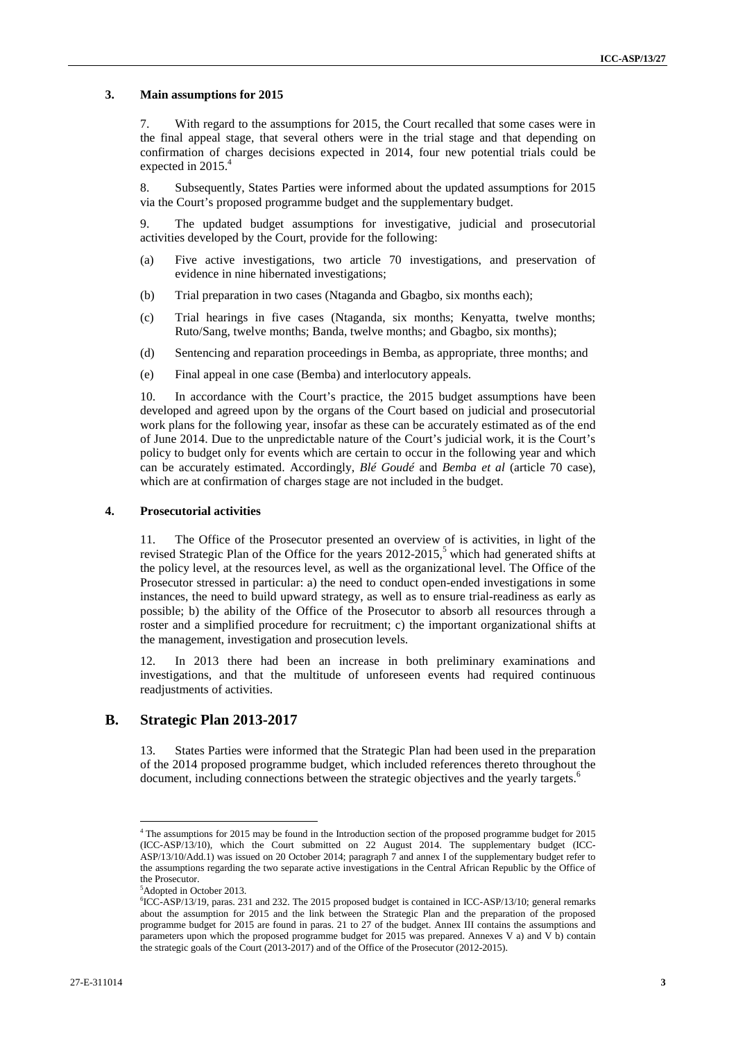#### **3. Main assumptions for 2015**

7. With regard to the assumptions for 2015, the Court recalled that some cases were in the final appeal stage, that several others were in the trial stage and that depending on confirmation of charges decisions expected in 2014, four new potential trials could be expected in 2015.<sup>4</sup>

8. Subsequently, States Parties were informed about the updated assumptions for 2015 via the Court's proposed programme budget and the supplementary budget.

9. The updated budget assumptions for investigative, judicial and prosecutorial activities developed by the Court, provide for the following:

- (a) Five active investigations, two article 70 investigations, and preservation of evidence in nine hibernated investigations;
- (b) Trial preparation in two cases (Ntaganda and Gbagbo, six months each);
- (c) Trial hearings in five cases (Ntaganda, six months; Kenyatta, twelve months; Ruto/Sang, twelve months; Banda, twelve months; and Gbagbo, six months);
- (d) Sentencing and reparation proceedings in Bemba, as appropriate, three months; and
- (e) Final appeal in one case (Bemba) and interlocutory appeals.

10. In accordance with the Court's practice, the 2015 budget assumptions have been developed and agreed upon by the organs of the Court based on judicial and prosecutorial work plans for the following year, insofar as these can be accurately estimated as of the end of June 2014. Due to the unpredictable nature of the Court's judicial work, it is the Court's policy to budget only for events which are certain to occur in the following year and which can be accurately estimated. Accordingly, *Blé Goudé* and *Bemba et al* (article 70 case), which are at confirmation of charges stage are not included in the budget.

#### **4. Prosecutorial activities**

11. The Office of the Prosecutor presented an overview of is activities, in light of the revised Strategic Plan of the Office for the years 2012-2015,<sup>5</sup> which had generated shifts at the policy level, at the resources level, as well as the organizational level. The Office of the Prosecutor stressed in particular: a) the need to conduct open-ended investigations in some instances, the need to build upward strategy, as well as to ensure trial-readiness as early as possible; b) the ability of the Office of the Prosecutor to absorb all resources through a roster and a simplified procedure for recruitment; c) the important organizational shifts at the management, investigation and prosecution levels.

12. In 2013 there had been an increase in both preliminary examinations and investigations, and that the multitude of unforeseen events had required continuous readjustments of activities.

## **B. Strategic Plan 2013-2017**

13. States Parties were informed that the Strategic Plan had been used in the preparation of the 2014 proposed programme budget, which included references thereto throughout the document, including connections between the strategic objectives and the yearly targets.<sup>6</sup>

<sup>4</sup> The assumptions for 2015 may be found in the Introduction section of the proposed programme budget for 2015 (ICC-ASP/13/10), which the Court submitted on 22 August 2014. The supplementary budget (ICC- ASP/13/10/Add.1) was issued on 20 October 2014; paragraph 7 and annex I of the supplementary budget refer to the assumptions regarding the two separate active investigations in the Central African Republic by the Office of the Prosecutor.

<sup>5</sup>Adopted in October 2013.

 ${}^{6}$ ICC-ASP/13/19, paras. 231 and 232. The 2015 proposed budget is contained in ICC-ASP/13/10; general remarks about the assumption for 2015 and the link between the Strategic Plan and the preparation of the proposed programme budget for 2015 are found in paras. 21 to 27 of the budget. Annex III contains the assumptions and parameters upon which the proposed programme budget for 2015 was prepared. Annexes V a) and V b) contain the strategic goals of the Court (2013-2017) and of the Office of the Prosecutor (2012-2015).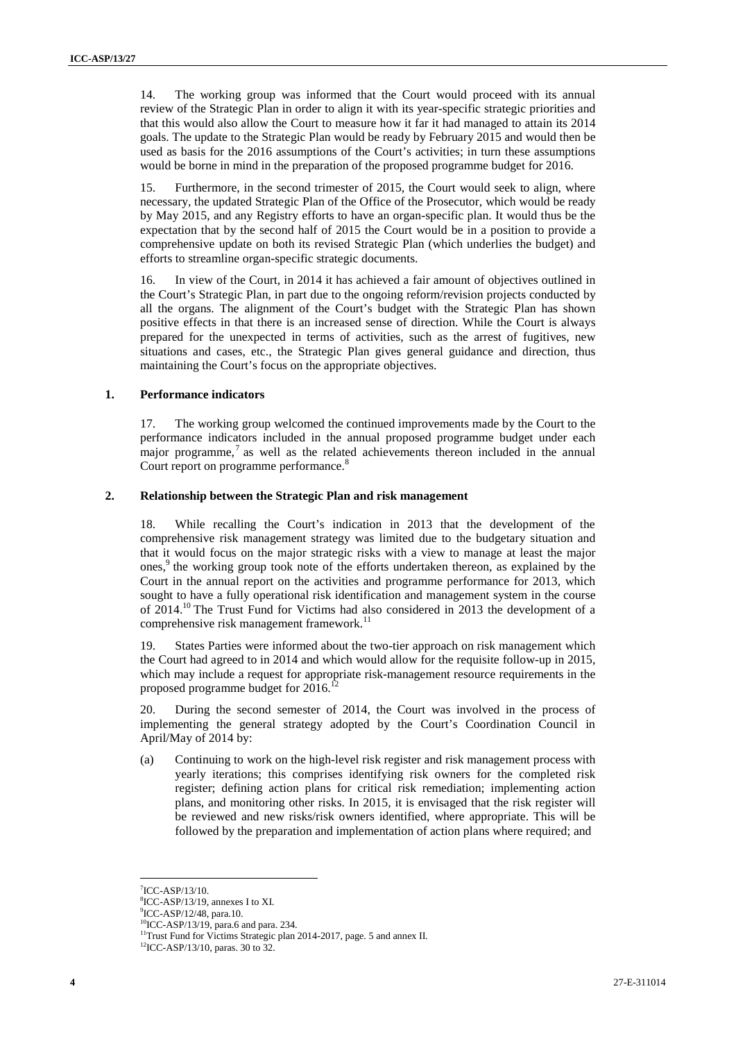14. The working group was informed that the Court would proceed with its annual review of the Strategic Plan in order to align it with its year-specific strategic priorities and that this would also allow the Court to measure how it far it had managed to attain its 2014 goals. The update to the Strategic Plan would be ready by February 2015 and would then be used as basis for the 2016 assumptions of the Court's activities; in turn these assumptions would be borne in mind in the preparation of the proposed programme budget for 2016.

15. Furthermore, in the second trimester of 2015, the Court would seek to align, where necessary, the updated Strategic Plan of the Office of the Prosecutor, which would be ready by May 2015, and any Registry efforts to have an organ-specific plan. It would thus be the expectation that by the second half of 2015 the Court would be in a position to provide a comprehensive update on both its revised Strategic Plan (which underlies the budget) and efforts to streamline organ-specific strategic documents.

16. In view of the Court, in 2014 it has achieved a fair amount of objectives outlined in the Court's Strategic Plan, in part due to the ongoing reform/revision projects conducted by all the organs. The alignment of the Court's budget with the Strategic Plan has shown positive effects in that there is an increased sense of direction. While the Court is always prepared for the unexpected in terms of activities, such as the arrest of fugitives, new situations and cases, etc., the Strategic Plan gives general guidance and direction, thus maintaining the Court's focus on the appropriate objectives.

#### **1. Performance indicators**

17. The working group welcomed the continued improvements made by the Court to the performance indicators included in the annual proposed programme budget under each major programme, $7$  as well as the related achievements thereon included in the annual Court report on programme performance.<sup>8</sup>

#### **2. Relationship between the Strategic Plan and risk management**

18. While recalling the Court's indication in 2013 that the development of the comprehensive risk management strategy was limited due to the budgetary situation and that it would focus on the major strategic risks with a view to manage at least the major ones,<sup>9</sup> the working group took note of the efforts undertaken thereon, as explained by the Court in the annual report on the activities and programme performance for 2013, which sought to have a fully operational risk identification and management system in the course of 2014.<sup>10</sup> The Trust Fund for Victims had also considered in 2013 the development of a comprehensive risk management framework.<sup>11</sup>

19. States Parties were informed about the two-tier approach on risk management which the Court had agreed to in 2014 and which would allow for the requisite follow-up in 2015, which may include a request for appropriate risk-management resource requirements in the proposed programme budget for 2016.<sup>17</sup>

20. During the second semester of 2014, the Court was involved in the process of implementing the general strategy adopted by the Court's Coordination Council in April/May of 2014 by:

(a) Continuing to work on the high-level risk register and risk management process with yearly iterations; this comprises identifying risk owners for the completed risk register; defining action plans for critical risk remediation; implementing action plans, and monitoring other risks. In 2015, it is envisaged that the risk register will be reviewed and new risks/risk owners identified, where appropriate. This will be followed by the preparation and implementation of action plans where required; and

<sup>7</sup>ICC-ASP/13/10.

 ${}^{8}$ ICC-ASP/13/19, annexes I to XI.<br> ${}^{9}$ ICC-ASP/12/48, para.10.

<sup>&</sup>lt;sup>10</sup>ICC-ASP/13/19, para.6 and para. 234.

<sup>&</sup>lt;sup>11</sup>Trust Fund for Victims Strategic plan 2014-2017, page. 5 and annex II. <sup>12</sup>ICC-ASP/13/10, paras. 30 to 32.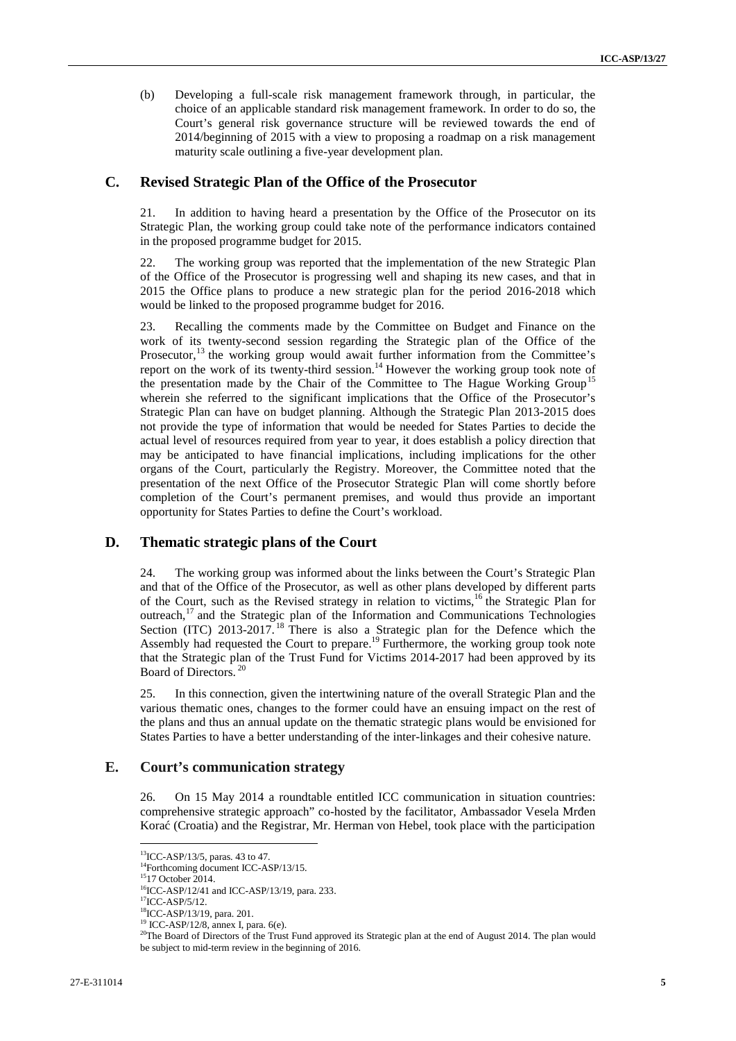(b) Developing a full-scale risk management framework through, in particular, the choice of an applicable standard risk management framework. In order to do so, the Court's general risk governance structure will be reviewed towards the end of 2014/beginning of 2015 with a view to proposing a roadmap on a risk management maturity scale outlining a five-year development plan.

### **C. Revised Strategic Plan of the Office of the Prosecutor**

21. In addition to having heard a presentation by the Office of the Prosecutor on its Strategic Plan, the working group could take note of the performance indicators contained in the proposed programme budget for 2015.

22. The working group was reported that the implementation of the new Strategic Plan of the Office of the Prosecutor is progressing well and shaping its new cases, and that in 2015 the Office plans to produce a new strategic plan for the period 2016-2018 which would be linked to the proposed programme budget for 2016.

23. Recalling the comments made by the Committee on Budget and Finance on the work of its twenty-second session regarding the Strategic plan of the Office of the Prosecutor,<sup>13</sup> the working group would await further information from the Committee's report on the work of its twenty-third session.<sup>14</sup> However the working group took note of the presentation made by the Chair of the Committee to The Hague Working Group<sup>15</sup> wherein she referred to the significant implications that the Office of the Prosecutor's Strategic Plan can have on budget planning. Although the Strategic Plan 2013-2015 does not provide the type of information that would be needed for States Parties to decide the actual level of resources required from year to year, it does establish a policy direction that may be anticipated to have financial implications, including implications for the other organs of the Court, particularly the Registry. Moreover, the Committee noted that the presentation of the next Office of the Prosecutor Strategic Plan will come shortly before completion of the Court's permanent premises, and would thus provide an important opportunity for States Parties to define the Court's workload.

## **D. Thematic strategic plans of the Court**

24. The working group was informed about the links between the Court's Strategic Plan and that of the Office of the Prosecutor, as well as other plans developed by different parts of the Court, such as the Revised strategy in relation to victims,<sup>16</sup> the Strategic Plan for outreach,<sup>17</sup> and the Strategic plan of the Information and Communications Technologies Section (ITC) 2013-2017.<sup>18</sup> There is also a Strategic plan for the Defence which the Assembly had requested the Court to prepare.<sup>19</sup> Furthermore, the working group took note that the Strategic plan of the Trust Fund for Victims 2014-2017 had been approved by its Board of Directors. <sup>20</sup>

25. In this connection, given the intertwining nature of the overall Strategic Plan and the various thematic ones, changes to the former could have an ensuing impact on the rest of the plans and thus an annual update on the thematic strategic plans would be envisioned for States Parties to have a better understanding of the inter-linkages and their cohesive nature.

## **E. Court's communication strategy**

26. On 15 May 2014 a roundtable entitled ICC communication in situation countries: comprehensive strategic approach" co-hosted by the facilitator, Ambassador Vesela Mr en Korać (Croatia) and the Registrar, Mr. Herman von Hebel, took place with the participation

<sup>13</sup>ICC-ASP/13/5, paras. 43 to 47.

<sup>&</sup>lt;sup>14</sup>Forthcoming document ICC-ASP/13/15.<br><sup>15</sup>17 October 2014.

<sup>&</sup>lt;sup>16</sup>ICC-ASP/12/41 and ICC-ASP/13/19, para. 233.<br><sup>17</sup>ICC-ASP/5/12.

<sup>&</sup>lt;sup>18</sup>ICC-ASP/13/19, para. 201.

<sup>19</sup> ICC-ASP/12/8, annex I, para. 6(e).

<sup>&</sup>lt;sup>20</sup>The Board of Directors of the Trust Fund approved its Strategic plan at the end of August 2014. The plan would be subject to mid-term review in the beginning of 2016.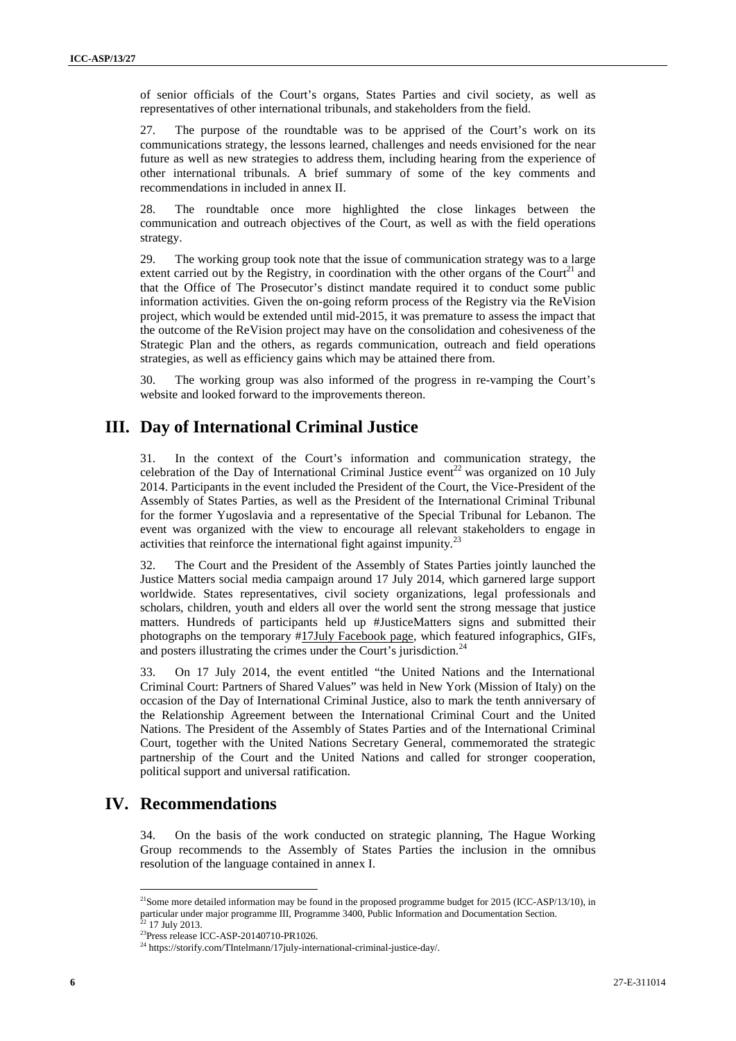of senior officials of the Court's organs, States Parties and civil society, as well as representatives of other international tribunals, and stakeholders from the field.

27. The purpose of the roundtable was to be apprised of the Court's work on its communications strategy, the lessons learned, challenges and needs envisioned for the near future as well as new strategies to address them, including hearing from the experience of other international tribunals. A brief summary of some of the key comments and recommendations in included in annex II.

28. The roundtable once more highlighted the close linkages between the communication and outreach objectives of the Court, as well as with the field operations strategy.

29. The working group took note that the issue of communication strategy was to a large extent carried out by the Registry, in coordination with the other organs of the Court<sup>21</sup> and that the Office of The Prosecutor's distinct mandate required it to conduct some public information activities. Given the on-going reform process of the Registry via the ReVision project, which would be extended until mid-2015, it was premature to assess the impact that the outcome of the ReVision project may have on the consolidation and cohesiveness of the Strategic Plan and the others, as regards communication, outreach and field operations strategies, as well as efficiency gains which may be attained there from.

30. The working group was also informed of the progress in re-vamping the Court's website and looked forward to the improvements thereon.

## **III. Day of International Criminal Justice**

31. In the context of the Court's information and communication strategy, the celebration of the Day of International Criminal Justice event<sup>22</sup> was organized on 10 July 2014. Participants in the event included the President of the Court, the Vice-President of the Assembly of States Parties, as well as the President of the International Criminal Tribunal for the former Yugoslavia and a representative of the Special Tribunal for Lebanon. The event was organized with the view to encourage all relevant stakeholders to engage in activities that reinforce the international fight against impunity. $23$ 

32. The Court and the President of the Assembly of States Parties jointly launched the Justice Matters social media campaign around 17 July 2014, which garnered large support worldwide. States representatives, civil society organizations, legal professionals and scholars, children, youth and elders all over the world sent the strong message that justice matters. Hundreds of participants held up #JusticeMatters signs and submitted their photographs on the temporary #17July Facebook page, which featured infographics, GIFs, and posters illustrating the crimes under the Court's jurisdiction.<sup>24</sup>

33. On 17 July 2014, the event entitled "the United Nations and the International Criminal Court: Partners of Shared Values" was held in New York (Mission of Italy) on the occasion of the Day of International Criminal Justice, also to mark the tenth anniversary of the Relationship Agreement between the International Criminal Court and the United Nations. The President of the Assembly of States Parties and of the International Criminal Court, together with the United Nations Secretary General, commemorated the strategic partnership of the Court and the United Nations and called for stronger cooperation, political support and universal ratification.

## **IV. Recommendations**

34. On the basis of the work conducted on strategic planning, The Hague Working Group recommends to the Assembly of States Parties the inclusion in the omnibus resolution of the language contained in annex I.

<sup>&</sup>lt;sup>21</sup>Some more detailed information may be found in the proposed programme budget for 2015 (ICC-ASP/13/10), in particular under major programme III, Programme 3400, Public Information and Documentation Section.  $^{22}$  17 July 2013.

<sup>&</sup>lt;sup>23</sup>Press release ICC-ASP-20140710-PR1026.<br><sup>24</sup> https://storify.com/TIntelmann/17july-international-criminal-justice-day/.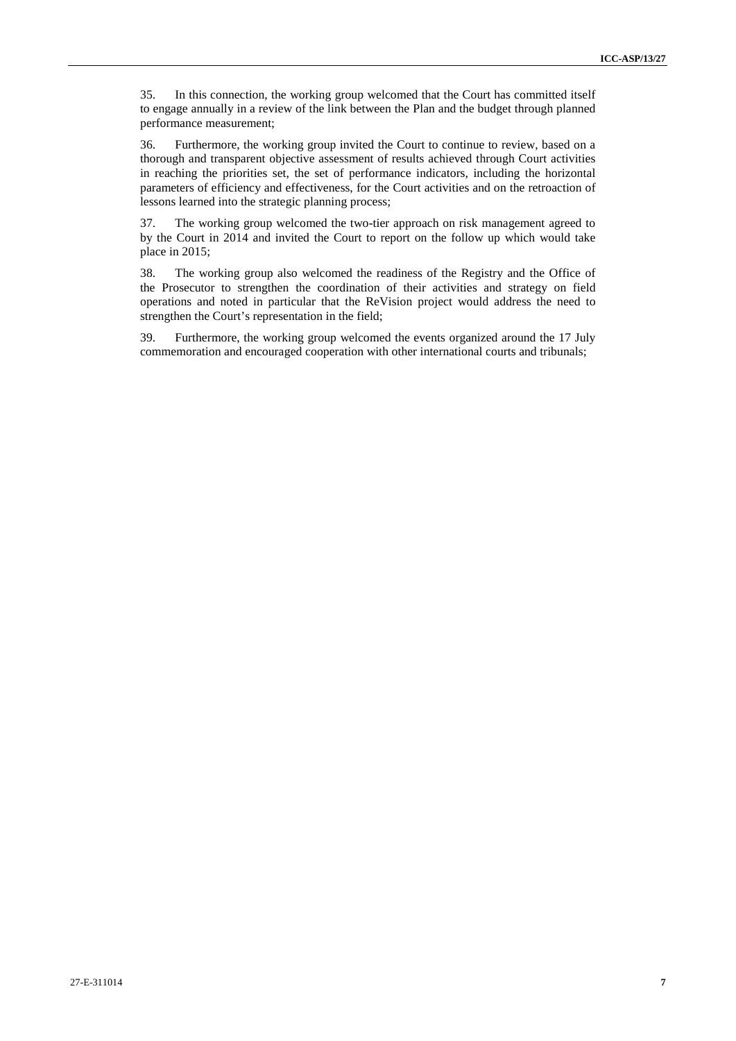35. In this connection, the working group welcomed that the Court has committed itself to engage annually in a review of the link between the Plan and the budget through planned performance measurement;

36. Furthermore, the working group invited the Court to continue to review, based on a thorough and transparent objective assessment of results achieved through Court activities in reaching the priorities set, the set of performance indicators, including the horizontal parameters of efficiency and effectiveness, for the Court activities and on the retroaction of lessons learned into the strategic planning process;

37. The working group welcomed the two-tier approach on risk management agreed to by the Court in 2014 and invited the Court to report on the follow up which would take place in 2015;

38. The working group also welcomed the readiness of the Registry and the Office of the Prosecutor to strengthen the coordination of their activities and strategy on field operations and noted in particular that the ReVision project would address the need to strengthen the Court's representation in the field;

39. Furthermore, the working group welcomed the events organized around the 17 July commemoration and encouraged cooperation with other international courts and tribunals;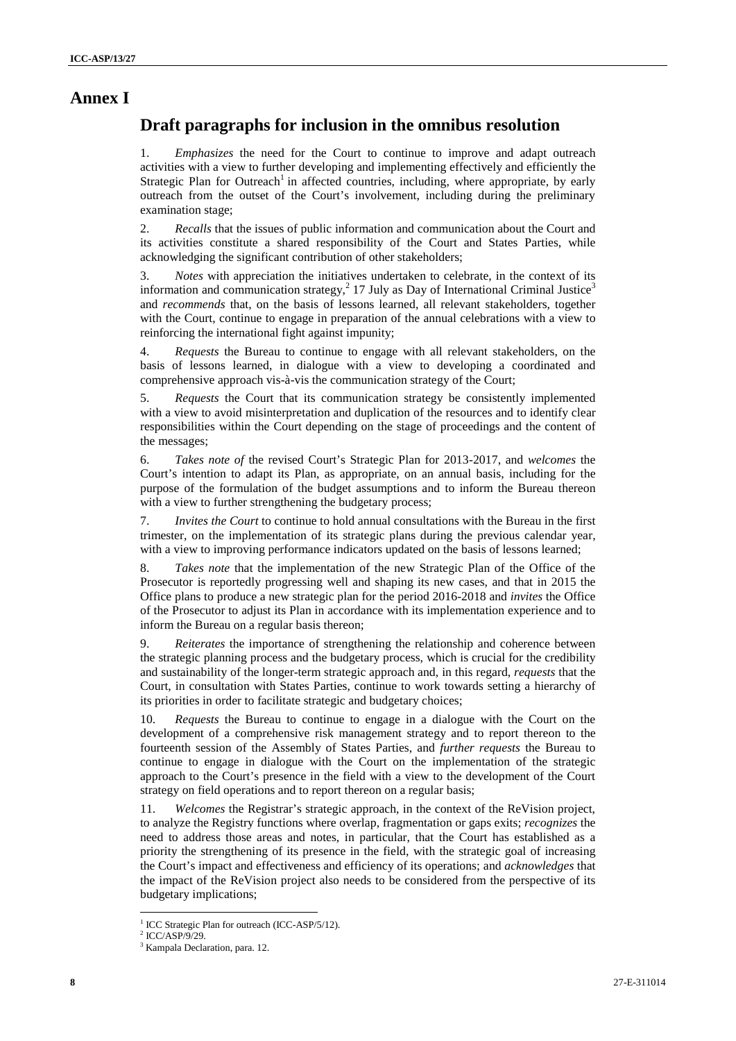## **Annex I**

## **Draft paragraphs for inclusion in the omnibus resolution**

1. *Emphasizes* the need for the Court to continue to improve and adapt outreach activities with a view to further developing and implementing effectively and efficiently the Strategic Plan for Outreach<sup>1</sup> in affected countries, including, where appropriate, by early outreach from the outset of the Court's involvement, including during the preliminary examination stage;

2. *Recalls* that the issues of public information and communication about the Court and its activities constitute a shared responsibility of the Court and States Parties, while acknowledging the significant contribution of other stakeholders;

3. *Notes* with appreciation the initiatives undertaken to celebrate, in the context of its information and communication strategy,<sup>2</sup> 17 July as Day of International Criminal Justice<sup>3</sup> and *recommends* that, on the basis of lessons learned, all relevant stakeholders, together with the Court, continue to engage in preparation of the annual celebrations with a view to reinforcing the international fight against impunity;

4. *Requests* the Bureau to continue to engage with all relevant stakeholders, on the basis of lessons learned, in dialogue with a view to developing a coordinated and comprehensive approach vis-à-vis the communication strategy of the Court;

5. *Requests* the Court that its communication strategy be consistently implemented with a view to avoid misinterpretation and duplication of the resources and to identify clear responsibilities within the Court depending on the stage of proceedings and the content of the messages;

6. *Takes note of* the revised Court's Strategic Plan for 2013-2017, and *welcomes* the Court's intention to adapt its Plan, as appropriate, on an annual basis, including for the purpose of the formulation of the budget assumptions and to inform the Bureau thereon with a view to further strengthening the budgetary process;

7. *Invites the Court* to continue to hold annual consultations with the Bureau in the first trimester, on the implementation of its strategic plans during the previous calendar year, with a view to improving performance indicators updated on the basis of lessons learned;

8. *Takes note* that the implementation of the new Strategic Plan of the Office of the Prosecutor is reportedly progressing well and shaping its new cases, and that in 2015 the Office plans to produce a new strategic plan for the period 2016-2018 and *invites* the Office of the Prosecutor to adjust its Plan in accordance with its implementation experience and to inform the Bureau on a regular basis thereon;

9. *Reiterates* the importance of strengthening the relationship and coherence between the strategic planning process and the budgetary process, which is crucial for the credibility and sustainability of the longer-term strategic approach and, in this regard, *requests* that the Court, in consultation with States Parties, continue to work towards setting a hierarchy of its priorities in order to facilitate strategic and budgetary choices;

10. *Requests* the Bureau to continue to engage in a dialogue with the Court on the development of a comprehensive risk management strategy and to report thereon to the fourteenth session of the Assembly of States Parties, and *further requests* the Bureau to continue to engage in dialogue with the Court on the implementation of the strategic approach to the Court's presence in the field with a view to the development of the Court strategy on field operations and to report thereon on a regular basis;

11. *Welcomes* the Registrar's strategic approach, in the context of the ReVision project, to analyze the Registry functions where overlap, fragmentation or gaps exits; *recognizes* the need to address those areas and notes, in particular, that the Court has established as a priority the strengthening of its presence in the field, with the strategic goal of increasing the Court's impact and effectiveness and efficiency of its operations; and *acknowledges* that the impact of the ReVision project also needs to be considered from the perspective of its budgetary implications;

<sup>&</sup>lt;sup>1</sup> ICC Strategic Plan for outreach (ICC-ASP/5/12).

 $^2$  ICC/ASP/9/29.<br> $^3$  Kampala Declaration, para. 12.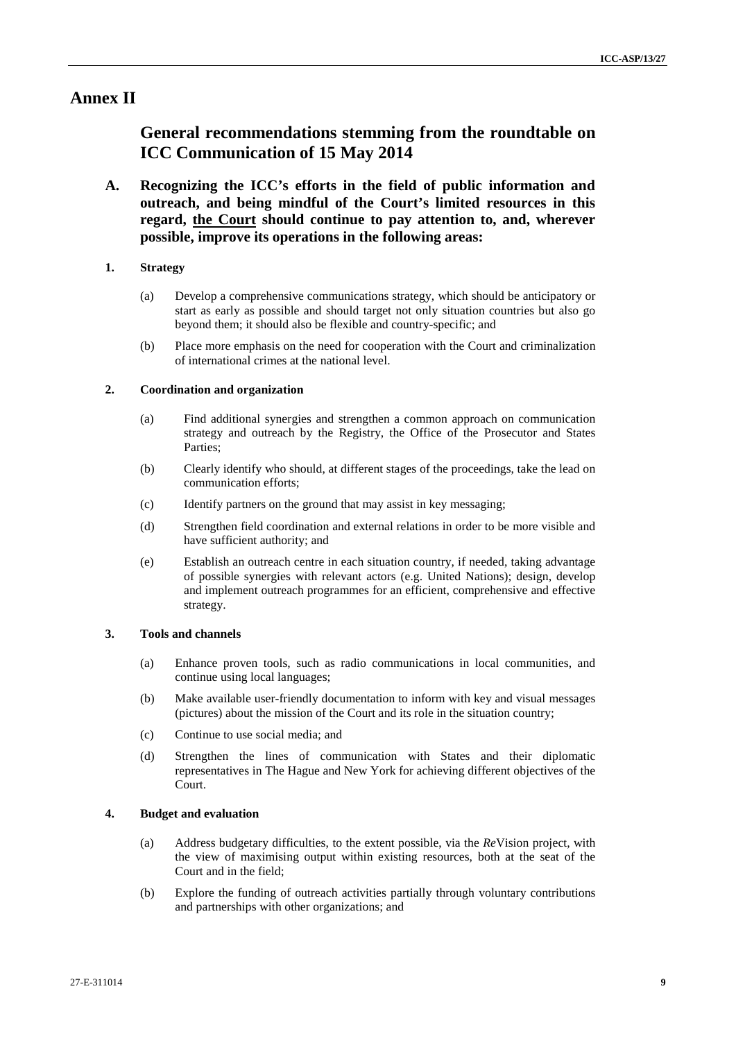## **Annex II**

## **General recommendations stemming from the roundtable on ICC Communication of 15 May 2014**

**A. Recognizing the ICC's efforts in the field of public information and outreach, and being mindful of the Court's limited resources in this regard, the Court should continue to pay attention to, and, wherever possible, improve its operations in the following areas:**

### **1. Strategy**

- (a) Develop a comprehensive communications strategy, which should be anticipatory or start as early as possible and should target not only situation countries but also go beyond them; it should also be flexible and country-specific; and
- (b) Place more emphasis on the need for cooperation with the Court and criminalization of international crimes at the national level.

### **2. Coordination and organization**

- (a) Find additional synergies and strengthen a common approach on communication strategy and outreach by the Registry, the Office of the Prosecutor and States Parties;
- (b) Clearly identify who should, at different stages of the proceedings, take the lead on communication efforts;
- (c) Identify partners on the ground that may assist in key messaging;
- (d) Strengthen field coordination and external relations in order to be more visible and have sufficient authority; and
- (e) Establish an outreach centre in each situation country, if needed, taking advantage of possible synergies with relevant actors (e.g. United Nations); design, develop and implement outreach programmes for an efficient, comprehensive and effective strategy.

### **3. Tools and channels**

- (a) Enhance proven tools, such as radio communications in local communities, and continue using local languages;
- (b) Make available user-friendly documentation to inform with key and visual messages (pictures) about the mission of the Court and its role in the situation country;
- (c) Continue to use social media; and
- (d) Strengthen the lines of communication with States and their diplomatic representatives in The Hague and New York for achieving different objectives of the Court.

#### **4. Budget and evaluation**

- (a) Address budgetary difficulties, to the extent possible, via the *Re*Vision project, with the view of maximising output within existing resources, both at the seat of the Court and in the field;
- (b) Explore the funding of outreach activities partially through voluntary contributions and partnerships with other organizations; and